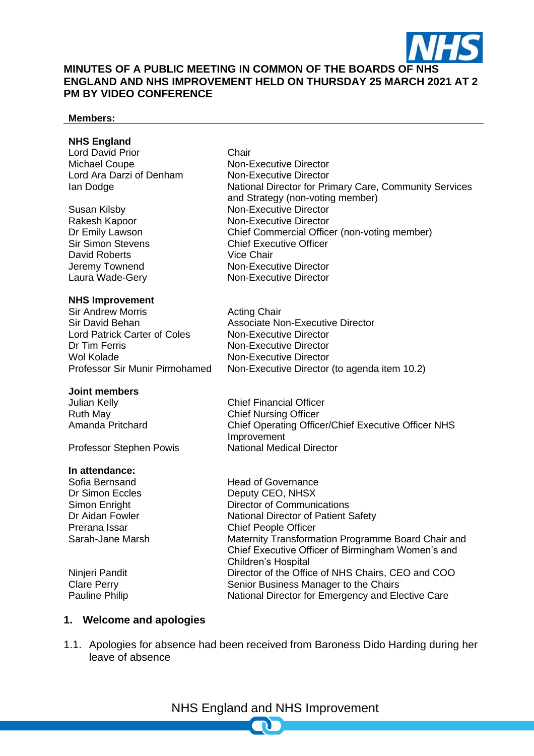

#### **MINUTES OF A PUBLIC MEETING IN COMMON OF THE BOARDS OF NHS ENGLAND AND NHS IMPROVEMENT HELD ON THURSDAY 25 MARCH 2021 AT 2 PM BY VIDEO CONFERENCE**

#### **Members:**

#### **NHS England**

Lord David Prior **Chair** Michael Coupe Non-Executive Director Lord Ara Darzi of Denham Non-Executive Director

David Roberts Vice Chair Laura Wade-Gery Non-Executive Director

#### **NHS Improvement**

Sir Andrew Morris Acting Chair Lord Patrick Carter of Coles Non-Executive Director Dr Tim Ferris Non-Executive Director Wol Kolade **Non-Executive Director**<br>Professor Sir Munir Pirmohamed Non-Executive Director

#### **Joint members**

Professor Stephen Powis

#### **In attendance:**

Ian Dodge **National Director for Primary Care, Community Services** and Strategy (non-voting member) Susan Kilsby Non-Executive Director Rakesh Kapoor Non-Executive Director Dr Emily Lawson **Chief Commercial Officer (non-voting member)**<br>
Sir Simon Stevens **Chief Executive Officer Chief Executive Officer** Jeremy Townend Non-Executive Director

Sir David Behan Associate Non-Executive Director Non-Executive Director (to agenda item 10.2)

Julian Kelly Chief Financial Officer Ruth May **Chief Nursing Officer**<br>
Amanda Pritchard **Chief Operating Office** Chief Operating Officer/Chief Executive Officer NHS **Improvement**<br>National Medical Director

Sofia Bernsand Head of Governance Dr Simon Eccles Deputy CEO, NHSX Simon Enright Director of Communications Dr Aidan Fowler National Director of Patient Safety Prerana Issar Chief People Officer Sarah-Jane Marsh Maternity Transformation Programme Board Chair and Chief Executive Officer of Birmingham Women's and Children's Hospital Ninjeri Pandit Director of the Office of NHS Chairs, CEO and COO Clare Perry **Senior Business Manager to the Chairs**<br>
Pauline Philip **Senior Business Manager to the Chairs**<br>
National Director for Emergency and Ele National Director for Emergency and Elective Care

#### **1. Welcome and apologies**

1.1. Apologies for absence had been received from Baroness Dido Harding during her leave of absence

NHS England and NHS Improvement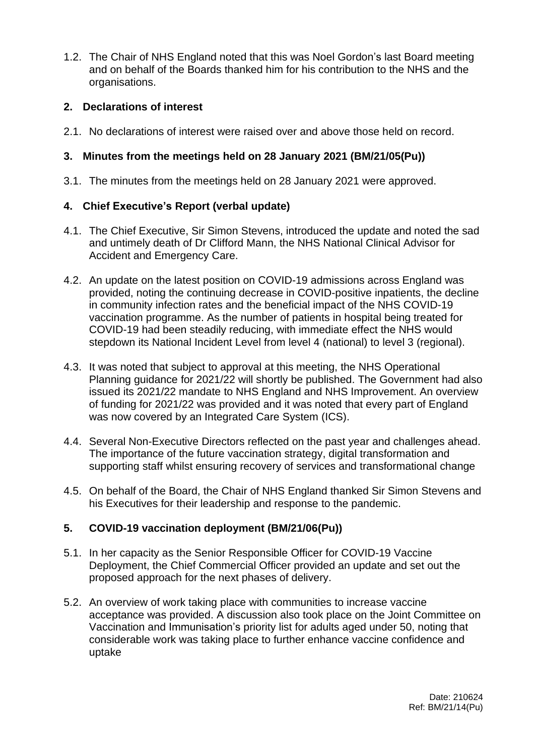1.2. The Chair of NHS England noted that this was Noel Gordon's last Board meeting and on behalf of the Boards thanked him for his contribution to the NHS and the organisations.

## **2. Declarations of interest**

2.1. No declarations of interest were raised over and above those held on record.

## **3. Minutes from the meetings held on 28 January 2021 (BM/21/05(Pu))**

3.1. The minutes from the meetings held on 28 January 2021 were approved.

## **4. Chief Executive's Report (verbal update)**

- 4.1. The Chief Executive, Sir Simon Stevens, introduced the update and noted the sad and untimely death of Dr Clifford Mann, the NHS National Clinical Advisor for Accident and Emergency Care.
- 4.2. An update on the latest position on COVID-19 admissions across England was provided, noting the continuing decrease in COVID-positive inpatients, the decline in community infection rates and the beneficial impact of the NHS COVID-19 vaccination programme. As the number of patients in hospital being treated for COVID-19 had been steadily reducing, with immediate effect the NHS would stepdown its National Incident Level from level 4 (national) to level 3 (regional).
- 4.3. It was noted that subject to approval at this meeting, the NHS Operational Planning guidance for 2021/22 will shortly be published. The Government had also issued its 2021/22 mandate to NHS England and NHS Improvement. An overview of funding for 2021/22 was provided and it was noted that every part of England was now covered by an Integrated Care System (ICS).
- 4.4. Several Non-Executive Directors reflected on the past year and challenges ahead. The importance of the future vaccination strategy, digital transformation and supporting staff whilst ensuring recovery of services and transformational change
- 4.5. On behalf of the Board, the Chair of NHS England thanked Sir Simon Stevens and his Executives for their leadership and response to the pandemic.

# **5. COVID-19 vaccination deployment (BM/21/06(Pu))**

- 5.1. In her capacity as the Senior Responsible Officer for COVID-19 Vaccine Deployment, the Chief Commercial Officer provided an update and set out the proposed approach for the next phases of delivery.
- 5.2. An overview of work taking place with communities to increase vaccine acceptance was provided. A discussion also took place on the Joint Committee on Vaccination and Immunisation's priority list for adults aged under 50, noting that considerable work was taking place to further enhance vaccine confidence and uptake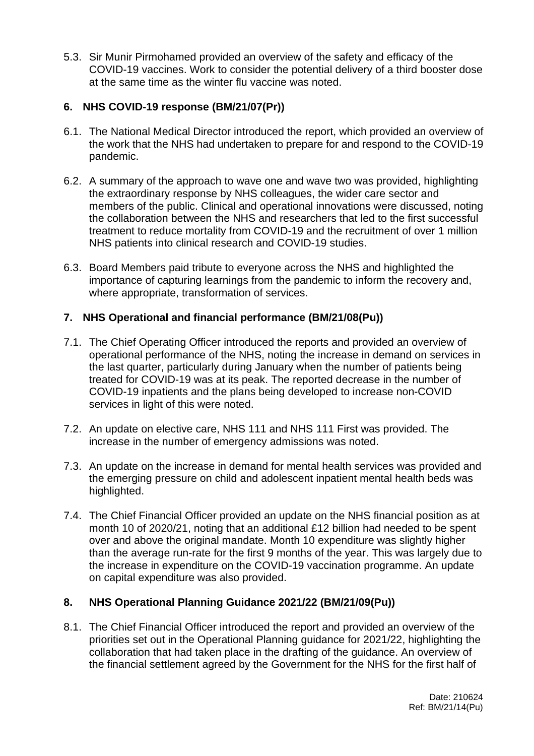5.3. Sir Munir Pirmohamed provided an overview of the safety and efficacy of the COVID-19 vaccines. Work to consider the potential delivery of a third booster dose at the same time as the winter flu vaccine was noted.

## **6. NHS COVID-19 response (BM/21/07(Pr))**

- 6.1. The National Medical Director introduced the report, which provided an overview of the work that the NHS had undertaken to prepare for and respond to the COVID-19 pandemic.
- 6.2. A summary of the approach to wave one and wave two was provided, highlighting the extraordinary response by NHS colleagues, the wider care sector and members of the public. Clinical and operational innovations were discussed, noting the collaboration between the NHS and researchers that led to the first successful treatment to reduce mortality from COVID-19 and the recruitment of over 1 million NHS patients into clinical research and COVID-19 studies.
- 6.3. Board Members paid tribute to everyone across the NHS and highlighted the importance of capturing learnings from the pandemic to inform the recovery and, where appropriate, transformation of services.

## **7. NHS Operational and financial performance (BM/21/08(Pu))**

- 7.1. The Chief Operating Officer introduced the reports and provided an overview of operational performance of the NHS, noting the increase in demand on services in the last quarter, particularly during January when the number of patients being treated for COVID-19 was at its peak. The reported decrease in the number of COVID-19 inpatients and the plans being developed to increase non-COVID services in light of this were noted.
- 7.2. An update on elective care, NHS 111 and NHS 111 First was provided. The increase in the number of emergency admissions was noted.
- 7.3. An update on the increase in demand for mental health services was provided and the emerging pressure on child and adolescent inpatient mental health beds was highlighted.
- 7.4. The Chief Financial Officer provided an update on the NHS financial position as at month 10 of 2020/21, noting that an additional £12 billion had needed to be spent over and above the original mandate. Month 10 expenditure was slightly higher than the average run-rate for the first 9 months of the year. This was largely due to the increase in expenditure on the COVID-19 vaccination programme. An update on capital expenditure was also provided.

## **8. NHS Operational Planning Guidance 2021/22 (BM/21/09(Pu))**

8.1. The Chief Financial Officer introduced the report and provided an overview of the priorities set out in the Operational Planning guidance for 2021/22, highlighting the collaboration that had taken place in the drafting of the guidance. An overview of the financial settlement agreed by the Government for the NHS for the first half of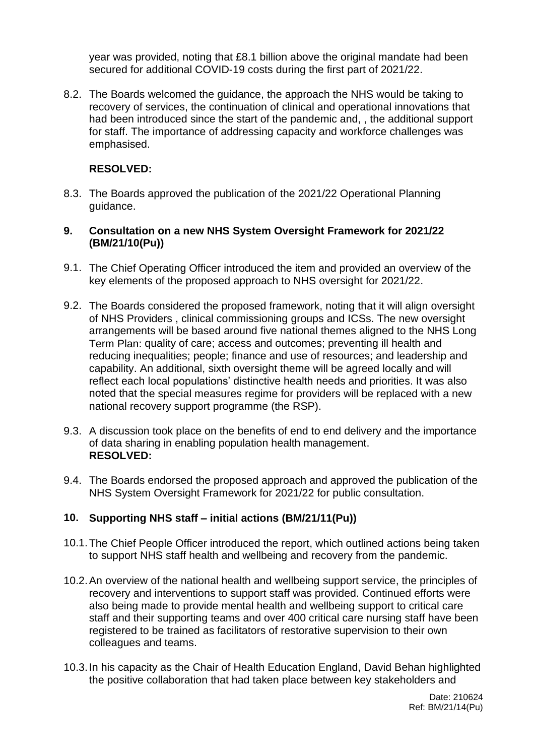year was provided, noting that £8.1 billion above the original mandate had been secured for additional COVID-19 costs during the first part of 2021/22.

8.2. The Boards welcomed the guidance, the approach the NHS would be taking to recovery of services, the continuation of clinical and operational innovations that had been introduced since the start of the pandemic and, , the additional support for staff. The importance of addressing capacity and workforce challenges was emphasised.

## **RESOLVED:**

8.3. The Boards approved the publication of the 2021/22 Operational Planning guidance.

### **9. Consultation on a new NHS System Oversight Framework for 2021/22 (BM/21/10(Pu))**

- 9.1. The Chief Operating Officer introduced the item and provided an overview of the key elements of the proposed approach to NHS oversight for 2021/22.
- 9.2. The Boards considered the proposed framework, noting that it will align oversight of NHS Providers , clinical commissioning groups and ICSs. The new oversight arrangements will be based around five national themes aligned to the NHS Long Term Plan: quality of care; access and outcomes; preventing ill health and reducing inequalities; people; finance and use of resources; and leadership and capability. An additional, sixth oversight theme will be agreed locally and will reflect each local populations' distinctive health needs and priorities. It was also noted that the special measures regime for providers will be replaced with a new national recovery support programme (the RSP).
- 9.3. A discussion took place on the benefits of end to end delivery and the importance of data sharing in enabling population health management. **RESOLVED:**
- 9.4. The Boards endorsed the proposed approach and approved the publication of the NHS System Oversight Framework for 2021/22 for public consultation.

## **10. Supporting NHS staff – initial actions (BM/21/11(Pu))**

- 10.1.The Chief People Officer introduced the report, which outlined actions being taken to support NHS staff health and wellbeing and recovery from the pandemic.
- 10.2.An overview of the national health and wellbeing support service, the principles of recovery and interventions to support staff was provided. Continued efforts were also being made to provide mental health and wellbeing support to critical care staff and their supporting teams and over 400 critical care nursing staff have been registered to be trained as facilitators of restorative supervision to their own colleagues and teams.
- 10.3.In his capacity as the Chair of Health Education England, David Behan highlighted the positive collaboration that had taken place between key stakeholders and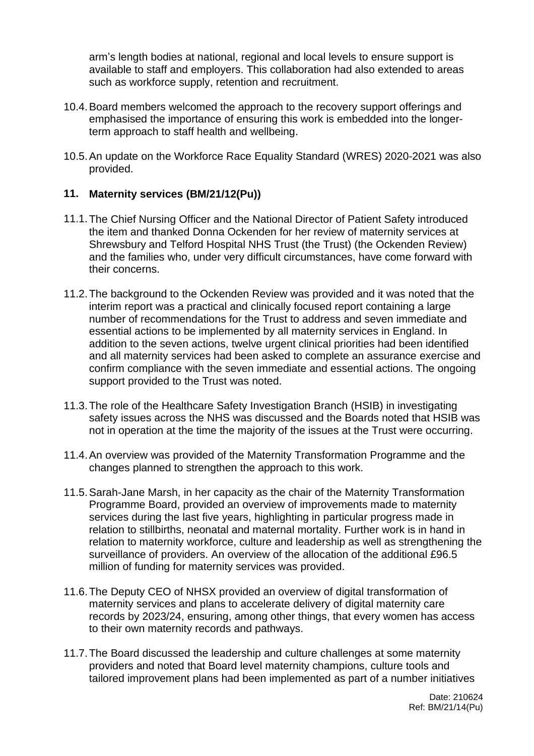arm's length bodies at national, regional and local levels to ensure support is available to staff and employers. This collaboration had also extended to areas such as workforce supply, retention and recruitment.

- 10.4.Board members welcomed the approach to the recovery support offerings and emphasised the importance of ensuring this work is embedded into the longerterm approach to staff health and wellbeing.
- 10.5.An update on the Workforce Race Equality Standard (WRES) 2020-2021 was also provided.

### **11. Maternity services (BM/21/12(Pu))**

- 11.1.The Chief Nursing Officer and the National Director of Patient Safety introduced the item and thanked Donna Ockenden for her review of maternity services at Shrewsbury and Telford Hospital NHS Trust (the Trust) (the Ockenden Review) and the families who, under very difficult circumstances, have come forward with their concerns.
- 11.2.The background to the Ockenden Review was provided and it was noted that the interim report was a practical and clinically focused report containing a large number of recommendations for the Trust to address and seven immediate and essential actions to be implemented by all maternity services in England. In addition to the seven actions, twelve urgent clinical priorities had been identified and all maternity services had been asked to complete an assurance exercise and confirm compliance with the seven immediate and essential actions. The ongoing support provided to the Trust was noted.
- 11.3.The role of the Healthcare Safety Investigation Branch (HSIB) in investigating safety issues across the NHS was discussed and the Boards noted that HSIB was not in operation at the time the majority of the issues at the Trust were occurring.
- 11.4.An overview was provided of the Maternity Transformation Programme and the changes planned to strengthen the approach to this work.
- 11.5.Sarah-Jane Marsh, in her capacity as the chair of the Maternity Transformation Programme Board, provided an overview of improvements made to maternity services during the last five years, highlighting in particular progress made in relation to stillbirths, neonatal and maternal mortality. Further work is in hand in relation to maternity workforce, culture and leadership as well as strengthening the surveillance of providers. An overview of the allocation of the additional £96.5 million of funding for maternity services was provided.
- 11.6.The Deputy CEO of NHSX provided an overview of digital transformation of maternity services and plans to accelerate delivery of digital maternity care records by 2023/24, ensuring, among other things, that every women has access to their own maternity records and pathways.
- 11.7.The Board discussed the leadership and culture challenges at some maternity providers and noted that Board level maternity champions, culture tools and tailored improvement plans had been implemented as part of a number initiatives